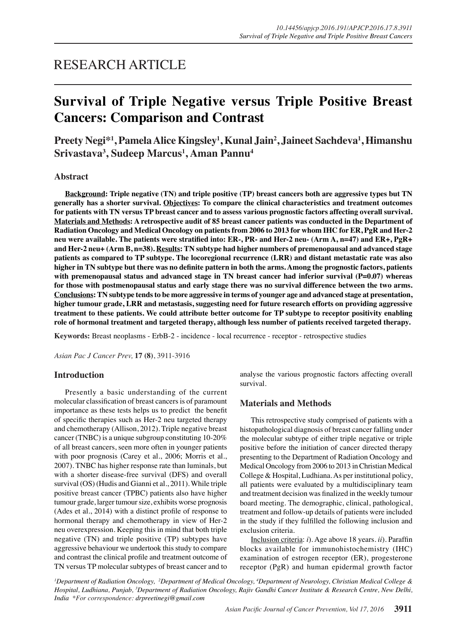## RESEARCH ARTICLE

# **Survival of Triple Negative versus Triple Positive Breast Cancers: Comparison and Contrast**

**Preety Negi\*1 , Pamela Alice Kingsley1 , Kunal Jain2 , Jaineet Sachdeva1 , Himanshu Srivastava3 , Sudeep Marcus1 , Aman Pannu<sup>4</sup>**

## **Abstract**

**Background: Triple negative (TN) and triple positive (TP) breast cancers both are aggressive types but TN generally has a shorter survival. Objectives: To compare the clinical characteristics and treatment outcomes for patients with TN versus TP breast cancer and to assess various prognostic factors affecting overall survival. Materials and Methods: A retrospective audit of 85 breast cancer patients was conducted in the Department of Radiation Oncology and Medical Oncology on patients from 2006 to 2013 for whom IHC for ER, PgR and Her-2 neu were available. The patients were stratified into: ER-, PR- and Her-2 neu- (Arm A, n=47) and ER+, PgR+ and Her-2 neu+ (Arm B, n=38). Results: TN subtype had higher numbers of premenopausal and advanced stage patients as compared to TP subtype. The locoregional recurrence (LRR) and distant metastatic rate was also higher in TN subtype but there was no definite pattern in both the arms. Among the prognostic factors, patients**  with premenopausal status and advanced stage in TN breast cancer had inferior survival (P=0.07) whereas **for those with postmenopausal status and early stage there was no survival difference between the two arms. Conclusions: TN subtype tends to be more aggressive in terms of younger age and advanced stage at presentation, higher tumour grade, LRR and metastasis, suggesting need for future research efforts on providing aggressive treatment to these patients. We could attribute better outcome for TP subtype to receptor positivity enabling role of hormonal treatment and targeted therapy, although less number of patients received targeted therapy.** 

**Keywords:** Breast neoplasms - ErbB-2 - incidence - local recurrence - receptor - retrospective studies

*Asian Pac J Cancer Prev,* **17 (8)**, 3911-3916

## **Introduction**

Presently a basic understanding of the current molecular classification of breast cancers is of paramount importance as these tests helps us to predict the benefit of specific therapies such as Her-2 neu targeted therapy and chemotherapy (Allison, 2012). Triple negative breast cancer (TNBC) is a unique subgroup constituting 10-20% of all breast cancers, seen more often in younger patients with poor prognosis (Carey et al., 2006; Morris et al., 2007). TNBC has higher response rate than luminals, but with a shorter disease-free survival (DFS) and overall survival (OS) (Hudis and Gianni et al., 2011). While triple positive breast cancer (TPBC) patients also have higher tumour grade, larger tumour size, exhibits worse prognosis (Ades et al., 2014) with a distinct profile of response to hormonal therapy and chemotherapy in view of Her-2 neu overexpression. Keeping this in mind that both triple negative (TN) and triple positive (TP) subtypes have aggressive behaviour we undertook this study to compare and contrast the clinical profile and treatment outcome of TN versus TP molecular subtypes of breast cancer and to analyse the various prognostic factors affecting overall survival.

## **Materials and Methods**

This retrospective study comprised of patients with a histopathological diagnosis of breast cancer falling under the molecular subtype of either triple negative or triple positive before the initiation of cancer directed therapy presenting to the Department of Radiation Oncology and Medical Oncology from 2006 to 2013 in Christian Medical College & Hospital, Ludhiana. As per institutional policy, all patients were evaluated by a multidisciplinary team and treatment decision was finalized in the weekly tumour board meeting. The demographic, clinical, pathological, treatment and follow-up details of patients were included in the study if they fulfilled the following inclusion and exclusion criteria.

Inclusion criteria: *i*). Age above 18 years. *ii*). Paraffin blocks available for immunohistochemistry (IHC) examination of estrogen receptor (ER), progesterone receptor (PgR) and human epidermal growth factor

<sup>*l*</sup> Department of Radiation Oncology, <sup>2</sup>Department of Medical Oncology, <sup>4</sup>Department of Neurology, Christian Medical College & *Hospital, Ludhiana, Punjab, 3 Department of Radiation Oncology, Rajiv Gandhi Cancer Institute & Research Centre, New Delhi, India \*For correspondence: drpreetinegi@gmail.com*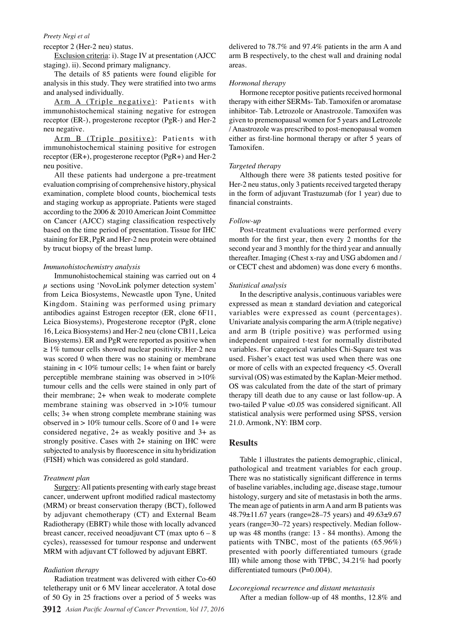#### *Preety Negi et al*

receptor 2 (Her-2 neu) status.

Exclusion criteria: i). Stage IV at presentation (AJCC staging). ii). Second primary malignancy.

The details of 85 patients were found eligible for analysis in this study. They were stratified into two arms and analysed individually.

Arm A (Triple negative): Patients with immunohistochemical staining negative for estrogen receptor (ER-), progesterone receptor (PgR-) and Her-2 neu negative.

Arm B (Triple positive): Patients with immunohistochemical staining positive for estrogen receptor (ER+), progesterone receptor (PgR+) and Her-2 neu positive.

All these patients had undergone a pre-treatment evaluation comprising of comprehensive history, physical examination, complete blood counts, biochemical tests and staging workup as appropriate. Patients were staged according to the 2006 & 2010 American Joint Committee on Cancer (AJCC) staging classification respectively based on the time period of presentation. Tissue for IHC staining for ER, PgR and Her-2 neu protein were obtained by trucut biopsy of the breast lump.

#### *Immunohistochemistry analysis*

Immunohistochemical staining was carried out on 4  $\mu$  sections using 'NovoLink polymer detection system' from Leica Biosystems, Newcastle upon Tyne, United Kingdom. Staining was performed using primary antibodies against Estrogen receptor (ER, clone 6F11, Leica Biosystems), Progesterone receptor (PgR, clone 16, Leica Biosystems) and Her-2 neu (clone CB11, Leica Biosystems). ER and PgR were reported as positive when  $\geq 1\%$  tumour cells showed nuclear positivity. Her-2 neu was scored 0 when there was no staining or membrane staining in  $< 10\%$  tumour cells; 1+ when faint or barely perceptible membrane staining was observed in >10% tumour cells and the cells were stained in only part of their membrane; 2+ when weak to moderate complete membrane staining was observed in >10% tumour cells; 3+ when strong complete membrane staining was observed in  $> 10\%$  tumour cells. Score of 0 and 1+ were considered negative, 2+ as weakly positive and 3+ as strongly positive. Cases with 2+ staining on IHC were subjected to analysis by fluorescence in situ hybridization (FISH) which was considered as gold standard.

#### *Treatment plan*

Surgery: All patients presenting with early stage breast cancer, underwent upfront modified radical mastectomy (MRM) or breast conservation therapy (BCT), followed by adjuvant chemotherapy (CT) and External Beam Radiotherapy (EBRT) while those with locally advanced breast cancer, received neoadjuvant CT (max upto  $6 - 8$ ) cycles), reassessed for tumour response and underwent MRM with adjuvant CT followed by adjuvant EBRT.

#### *Radiation therapy*

Radiation treatment was delivered with either Co-60 teletherapy unit or 6 MV linear accelerator. A total dose of 50 Gy in 25 fractions over a period of 5 weeks was delivered to 78.7% and 97.4% patients in the arm A and arm B respectively, to the chest wall and draining nodal areas.

#### *Hormonal therapy*

Hormone receptor positive patients received hormonal therapy with either SERMs- Tab. Tamoxifen or aromatase inhibitor- Tab. Letrozole or Anastrozole. Tamoxifen was given to premenopausal women for 5 years and Letrozole / Anastrozole was prescribed to post-menopausal women either as first-line hormonal therapy or after 5 years of Tamoxifen.

#### *Targeted therapy*

Although there were 38 patients tested positive for Her-2 neu status, only 3 patients received targeted therapy in the form of adjuvant Trastuzumab (for 1 year) due to financial constraints.

#### *Follow-up*

Post-treatment evaluations were performed every month for the first year, then every 2 months for the second year and 3 monthly for the third year and annually thereafter. Imaging (Chest x-ray and USG abdomen and / or CECT chest and abdomen) was done every 6 months.

#### *Statistical analysis*

In the descriptive analysis, continuous variables were expressed as mean  $\pm$  standard deviation and categorical variables were expressed as count (percentages). Univariate analysis comparing the arm A (triple negative) and arm B (triple positive) was performed using independent unpaired t-test for normally distributed variables. For categorical variables Chi-Square test was used. Fisher's exact test was used when there was one or more of cells with an expected frequency <5. Overall survival (OS) was estimated by the Kaplan-Meier method. OS was calculated from the date of the start of primary therapy till death due to any cause or last follow-up. A two-tailed P value <0.05 was considered significant. All statistical analysis were performed using SPSS, version 21.0. Armonk, NY: IBM corp.

## **Results**

Table 1 illustrates the patients demographic, clinical, pathological and treatment variables for each group. There was no statistically significant difference in terms of baseline variables, including age, disease stage, tumour histology, surgery and site of metastasis in both the arms. The mean age of patients in arm A and arm B patients was 48.79±11.67 years (range=28–75 years) and 49.63±9.67 years (range=30–72 years) respectively. Median followup was 48 months (range: 13 - 84 months). Among the patients with TNBC, most of the patients (65.96%) presented with poorly differentiated tumours (grade III) while among those with TPBC, 34.21% had poorly differentiated tumours (P=0.004).

*Locoregional recurrence and distant metastasis*  After a median follow-up of 48 months, 12.8% and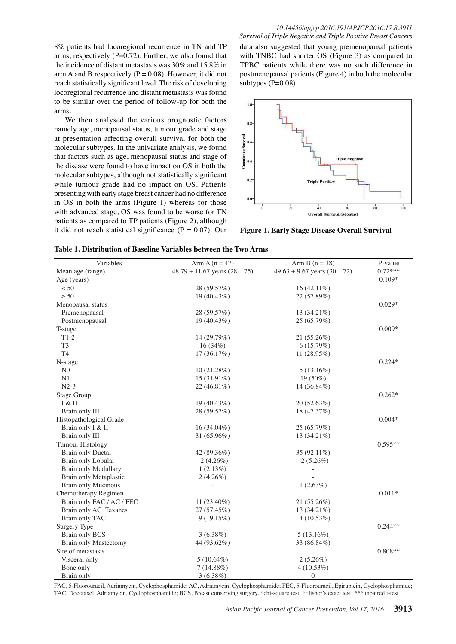8% patients had locoregional recurrence in TN and TP arms, respectively  $(P=0.72)$ . Further, we also found that the incidence of distant metastasis was 30% and 15.8% in arm A and B respectively ( $P = 0.08$ ). However, it did not reach statistically significant level. The risk of developing locoregional recurrence and distant metastasis was found to be similar over the period of follow-up for both the arms.

We then analysed the various prognostic factors namely age, menopausal status, tumour grade and stage at presentation affecting overall survival for both the molecular subtypes. In the univariate analysis, we found that factors such as age, menopausal status and stage of the disease were found to have impact on OS in both the molecular subtypes, although not statistically significant while tumour grade had no impact on OS. Patients presenting with early stage breast cancer had no difference in OS in both the arms (Figure 1) whereas for those with advanced stage, OS was found to be worse for TN patients as compared to TP patients (Figure 2), although it did not reach statistical significance ( $P = 0.07$ ). Our

#### *10.14456/apjcp.2016.191/APJCP.2016.17.8.3911 Survival of Triple Negative and Triple Positive Breast Cancers*

data also suggested that young premenopausal patients with TNBC had shorter OS (Figure 3) as compared to TPBC patients while there was no such difference in postmenopausal patients (Figure 4) in both the molecular subtypes  $(P=0.08)$ .



**Figure 1. Early Stage Disease Overall Survival**

| Table 1. Distribution of Baseline Variables between the Two Arms |  |  |
|------------------------------------------------------------------|--|--|
|------------------------------------------------------------------|--|--|

| Variables                    | Arm A $(n = 47)$                    | Arm B $(n = 38)$                   | P-value   |
|------------------------------|-------------------------------------|------------------------------------|-----------|
| Mean age (range)             | $48.79 \pm 11.67$ years $(28 - 75)$ | $49.63 \pm 9.67$ years $(30 - 72)$ | $0.72***$ |
| Age (years)                  |                                     |                                    | $0.109*$  |
| < 50                         | 28 (59.57%)                         | $16(42.11\%)$                      |           |
| $\geq 50$                    | 19 (40.43%)                         | 22 (57.89%)                        |           |
| Menopausal status            |                                     |                                    | $0.029*$  |
| Premenopausal                | 28 (59.57%)                         | 13 (34.21%)                        |           |
| Postmenopausal               | 19 (40.43%)                         | 25 (65.79%)                        |           |
| T-stage                      |                                     |                                    | $0.009*$  |
| $T1-2$                       | 14 (29.79%)                         | 21 (55.26%)                        |           |
| T <sub>3</sub>               | 16 (34%)                            | 6(15.79%)                          |           |
| <b>T4</b>                    | 17 (36.17%)                         | 11 $(28.95%)$                      |           |
| N-stage                      |                                     |                                    | $0.224*$  |
| N <sub>0</sub>               | 10(21.28%)                          | 5(13.16%)                          |           |
| N1                           | 15 (31.91%)                         | $19(50\%)$                         |           |
| $N2-3$                       | $22(46.81\%)$                       | 14 (36.84%)                        |           |
| <b>Stage Group</b>           |                                     |                                    | $0.262*$  |
| I & II                       | 19 (40.43%)                         | 20 (52.63%)                        |           |
| Brain only III               | 28 (59.57%)                         | 18 (47.37%)                        |           |
| Histopathological Grade      |                                     |                                    | $0.004*$  |
| Brain only I & II            | 16 (34.04%)                         | 25 (65.79%)                        |           |
| Brain only III               | 31 (65.96%)                         | 13 (34.21%)                        |           |
| <b>Tumour Histology</b>      |                                     |                                    | $0.595**$ |
| <b>Brain only Ductal</b>     | 42 (89.36%)                         | 35 (92.11%)                        |           |
| Brain only Lobular           | $2(4.26\%)$                         | $2(5.26\%)$                        |           |
| Brain only Medullary         | 1(2.13%)                            |                                    |           |
| Brain only Metaplastic       | $2(4.26\%)$                         |                                    |           |
| <b>Brain only Mucinous</b>   |                                     | 1(2.63%)                           |           |
| Chemotherapy Regimen         |                                     |                                    | $0.011*$  |
| Brain only FAC / AC / FEC    | 11 (23.40%)                         | 21 (55.26%)                        |           |
| Brain only AC Taxanes        | 27 (57.45%)                         | 13 (34.21%)                        |           |
| Brain only TAC               | 9(19.15%)                           | 4(10.53%)                          |           |
| Surgery Type                 |                                     |                                    | $0.244**$ |
| <b>Brain only BCS</b>        | $3(6.38\%)$                         | $5(13.16\%)$                       |           |
| <b>Brain only Mastectomy</b> | 44 (93.62%)                         | 33 (86.84%)                        |           |
| Site of metastasis           |                                     |                                    | $0.808**$ |
| Visceral only                | $5(10.64\%)$                        | $2(5.26\%)$                        |           |
| Bone only                    | $7(14.88\%)$                        | 4(10.53%)                          |           |
| Brain only                   | 3(6.38%)                            | $\boldsymbol{0}$                   |           |

FAC, 5-Fluorouracil, Adriamycin, Cyclophosphamide; AC, Adriamycin, Cyclophosphamide; FEC, 5-Fluorouracil, Epirubicin, Cyclophosphamide; TAC, Docetaxel, Adriamycin, Cyclophosphamide; BCS, Breast conserving surgery. \*chi-square test; \*\*\*fisher's exact test; \*\*\*unpaired t-test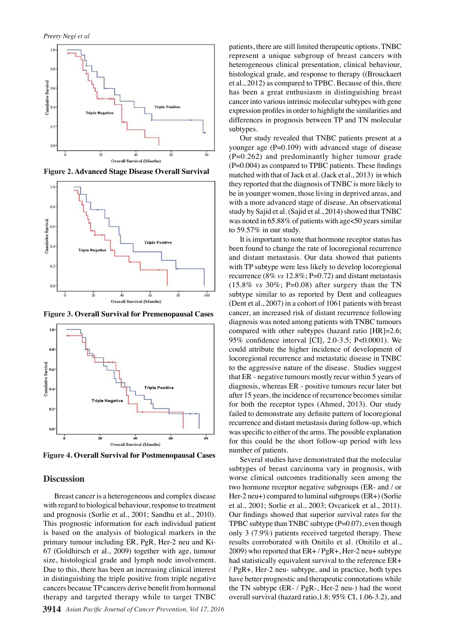

**Figure 2. Advanced Stage Disease Overall Survival**



**Figure 3. Overall Survival for Premenopausal Cases**



**Figure 4. Overall Survival for Postmenopausal Cases**

## **Discussion**

Breast cancer is a heterogeneous and complex disease with regard to biological behaviour, response to treatment and prognosis (Sorlie et al., 2001; Sandhu et al., 2010). This prognostic information for each individual patient is based on the analysis of biological markers in the primary tumour including ER, PgR, Her-2 neu and Ki-67 (Goldhirsch et al., 2009) together with age, tumour size, histological grade and lymph node involvement. Due to this, there has been an increasing clinical interest in distinguishing the triple positive from triple negative cancers because TP cancers derive benefit from hormonal therapy and targeted therapy while to target TNBC

patients, there are still limited therapeutic options. TNBC represent a unique subgroup of breast cancers with heterogeneous clinical presentation, clinical behaviour, histological grade, and response to therapy ((Brouckaert et al., 2012) as compared to TPBC. Because of this, there has been a great enthusiasm in distinguishing breast cancer into various intrinsic molecular subtypes with gene expression profiles in order to highlight the similarities and differences in prognosis between TP and TN molecular subtypes.

Our study revealed that TNBC patients present at a younger age  $(P=0.109)$  with advanced stage of disease  $(P=0.262)$  and predominantly higher tumour grade (P=0.004) as compared to TPBC patients. These findings matched with that of Jack et al. (Jack et al., 2013) in which they reported that the diagnosis of TNBC is more likely to be in younger women, those living in deprived areas, and with a more advanced stage of disease. An observational study by Sajid et al. (Sajid et al., 2014) showed that TNBC was noted in 65.88% of patients with age<50 years similar to 59.57% in our study.

It is important to note that hormone receptor status has been found to change the rate of locoregional recurrence and distant metastasis. Our data showed that patients with TP subtype were less likely to develop locoregional recurrence (8% *vs* 12.8%; P=0.72) and distant metastasis  $(15.8\% \text{ vs } 30\%; P=0.08)$  after surgery than the TN subtype similar to as reported by Dent and colleagues (Dent et al., 2007) in a cohort of 1061 patients with breast cancer, an increased risk of distant recurrence following diagnosis was noted among patients with TNBC tumours compared with other subtypes (hazard ratio [HR]=2.6; 95% confidence interval [CI], 2.0-3.5; P<0.0001). We could attribute the higher incidence of development of locoregional recurrence and metastatic disease in TNBC to the aggressive nature of the disease. Studies suggest that ER - negative tumours mostly recur within 5 years of diagnosis, whereas ER - positive tumours recur later but after 15 years, the incidence of recurrence becomes similar for both the receptor types (Ahmed, 2013). Our study failed to demonstrate any definite pattern of locoregional recurrence and distant metastasis during follow-up, which was specific to either of the arms. The possible explanation for this could be the short follow-up period with less number of patients.

Several studies have demonstrated that the molecular subtypes of breast carcinoma vary in prognosis, with worse clinical outcomes traditionally seen among the two hormone receptor negative subgroups (ER- and / or Her-2 neu+) compared to luminal subgroups (ER+) (Sorlie et al., 2001; Sorlie et al., 2003; Ovcaricek et al., 2011). Our findings showed that superior survival rates for the TPBC subtype than TNBC subtype  $(P=0.07)$ , even though only 3 (7.9%) patients received targeted therapy. These results corroborated with Onitilo et al. (Onitilo et al.,  $2009$ ) who reported that  $ER+$  /  $PgR+$ , Her-2 neu+ subtype had statistically equivalent survival to the reference ER+ / PgR+, Her-2 neu- subtype, and in practice, both types have better prognostic and therapeutic connotations while the TN subtype (ER- / PgR-, Her-2 neu-) had the worst overall survival (hazard ratio,1.8; 95% CI, 1.06-3.2), and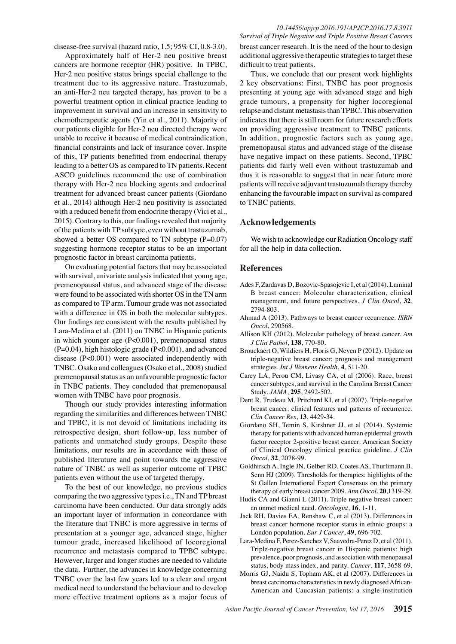*10.14456/apjcp.2016.191/APJCP.2016.17.8.3911*

disease-free survival (hazard ratio, 1.5; 95% CI, 0.8-3.0).

Approximately half of Her-2 neu positive breast cancers are hormone receptor (HR) positive. In TPBC, Her-2 neu positive status brings special challenge to the treatment due to its aggressive nature. Trastuzumab, an anti-Her-2 neu targeted therapy, has proven to be a powerful treatment option in clinical practice leading to improvement in survival and an increase in sensitivity to chemotherapeutic agents (Yin et al., 2011). Majority of our patients eligible for Her-2 neu directed therapy were unable to receive it because of medical contraindication, financial constraints and lack of insurance cover. Inspite of this, TP patients benefitted from endocrinal therapy leading to a better OS as compared to TN patients. Recent ASCO guidelines recommend the use of combination therapy with Her-2 neu blocking agents and endocrinal treatment for advanced breast cancer patients (Giordano et al., 2014) although Her-2 neu positivity is associated with a reduced benefit from endocrine therapy (Vici et al., 2015). Contrary to this, our findings revealed that majority of the patients with TP subtype, even without trastuzumab, showed a better OS compared to TN subtype  $(P=0.07)$ suggesting hormone receptor status to be an important prognostic factor in breast carcinoma patients.

On evaluating potential factors that may be associated with survival, univariate analysis indicated that young age, premenopausal status, and advanced stage of the disease were found to be associated with shorter OS in the TN arm as compared to TP arm. Tumour grade was not associated with a difference in OS in both the molecular subtypes. Our findings are consistent with the results published by Lara-Medina et al. (2011) on TNBC in Hispanic patients in which younger age (P<0.001), premenopausal status  $(P=0.04)$ , high histologic grade  $(P<0.001)$ , and advanced disease (P<0.001) were associated independently with TNBC. Osako and colleagues (Osako et al., 2008) studied premenopausal status as an unfavourable prognostic factor in TNBC patients. They concluded that premenopausal women with TNBC have poor prognosis.

Though our study provides interesting information regarding the similarities and differences between TNBC and TPBC, it is not devoid of limitations including its retrospective design, short follow-up, less number of patients and unmatched study groups. Despite these limitations, our results are in accordance with those of published literature and point towards the aggressive nature of TNBC as well as superior outcome of TPBC patients even without the use of targeted therapy.

To the best of our knowledge, no previous studies comparing the two aggressive types i.e., TN and TP breast carcinoma have been conducted. Our data strongly adds an important layer of information in concordance with the literature that TNBC is more aggressive in terms of presentation at a younger age, advanced stage, higher tumour grade, increased likelihood of locoregional recurrence and metastasis compared to TPBC subtype. However, larger and longer studies are needed to validate the data. Further, the advances in knowledge concerning TNBC over the last few years led to a clear and urgent medical need to understand the behaviour and to develop more effective treatment options as a major focus of *Survival of Triple Negative and Triple Positive Breast Cancers* breast cancer research. It is the need of the hour to design additional aggressive therapeutic strategies to target these difficult to treat patients.

Thus, we conclude that our present work highlights 2 key observations: First, TNBC has poor prognosis presenting at young age with advanced stage and high grade tumours, a propensity for higher locoregional relapse and distant metastasis than TPBC. This observation indicates that there is still room for future research efforts on providing aggressive treatment to TNBC patients. In addition, prognostic factors such as young age, premenopausal status and advanced stage of the disease have negative impact on these patients. Second, TPBC patients did fairly well even without trastuzumab and thus it is reasonable to suggest that in near future more patients will receive adjuvant trastuzumab therapy thereby enhancing the favourable impact on survival as compared to TNBC patients.

## **Acknowledgements**

We wish to acknowledge our Radiation Oncology staff for all the help in data collection.

## **References**

- Ades F, Zardavas D, Bozovic-Spasojevic I, et al (2014). Luminal B breast cancer: Molecular characterization, clinical management, and future perspectives. *J Clin Oncol*, **32**, 2794-803.
- Ahmad A (2013). Pathways to breast cancer recurrence. *ISRN Oncol*, 290568.
- Allison KH (2012). Molecular pathology of breast cancer. *Am J Clin Pathol*, **138**, 770-80.
- Brouckaert O, Wildiers H, Floris G, Neven P (2012). Update on triple-negative breast cancer: prognosis and management strategies. *Int J Womens Health*, **4**, 511-20.
- Carey LA, Perou CM, Livasy CA, et al (2006). Race, breast cancer subtypes, and survival in the Carolina Breast Cancer Study. *JAMA*, **295**, 2492-502.
- Dent R, Trudeau M, Pritchard KI, et al (2007). Triple-negative breast cancer: clinical features and patterns of recurrence. *Clin Cancer Res*, **13**, 4429-34.
- Giordano SH, Temin S, Kirshner JJ, et al (2014). Systemic therapy for patients with advanced human epidermal growth factor receptor 2-positive breast cancer: American Society of Clinical Oncology clinical practice guideline. *J Clin Oncol*, **32**, 2078-99.
- Goldhirsch A, Ingle JN, Gelber RD, Coates AS, Thurlimann B, Senn HJ (2009). Thresholds for therapies: highlights of the St Gallen International Expert Consensus on the primary therapy of early breast cancer 2009. *Ann Oncol*, **20**,1319-29.
- Hudis CA and Gianni L (2011). Triple negative breast cancer: an unmet medical need. *Oncologist*, **16**, 1-11.
- Jack RH, Davies EA, Renshaw C, et al (2013). Differences in breast cancer hormone receptor status in ethnic groups: a London population. *Eur J Cancer*, **49**, 696-702.
- Lara-Medina F, Perez-Sanchez V, Saavedra-Perez D, et al (2011). Triple-negative breast cancer in Hispanic patients: high prevalence, poor prognosis, and association with menopausal status, body mass index, and parity. *Cancer*, **117**, 3658-69.
- Morris GJ, Naidu S, Topham AK, et al (2007). Differences in breast carcinoma characteristics in newly diagnosed African-American and Caucasian patients: a single-institution